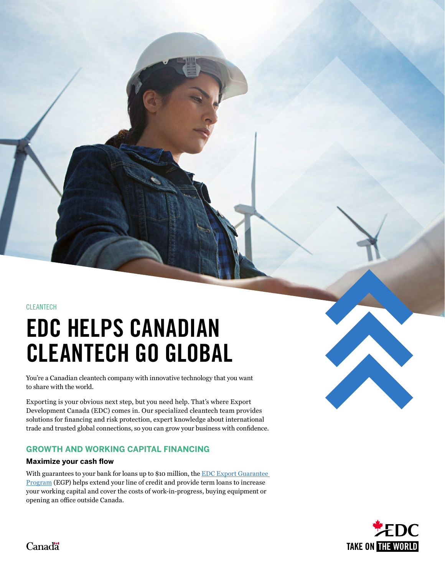CLEANTECH

# EDC HELPS CANADIAN CLEANTECH GO GLOBAL

You're a Canadian cleantech company with innovative technology that you want to share with the world.

Exporting is your obvious next step, but you need help. That's where Export Development Canada (EDC) comes in. Our specialized cleantech team provides solutions for financing and risk protection, expert knowledge about international trade and trusted global connections, so you can grow your business with confidence.

## **GROWTH AND WORKING CAPITAL FINANCING**

#### **Maximize your cash flow**

With guarantees to your bank for loans up to \$10 million, the EDC Export Guarantee [Program](https://go.edc.ca/2n5ox8) (EGP) helps extend your line of credit and provide term loans to increase your working capital and cover the costs of work-in-progress, buying equipment or opening an office outside Canada.



Canadä